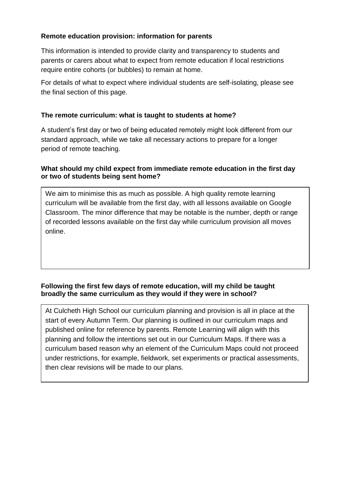## **Remote education provision: information for parents**

This information is intended to provide clarity and transparency to students and parents or carers about what to expect from remote education if local restrictions require entire cohorts (or bubbles) to remain at home.

For details of what to expect where individual students are self-isolating, please see the final section of this page.

## **The remote curriculum: what is taught to students at home?**

A student's first day or two of being educated remotely might look different from our standard approach, while we take all necessary actions to prepare for a longer period of remote teaching.

### **What should my child expect from immediate remote education in the first day or two of students being sent home?**

We aim to minimise this as much as possible. A high quality remote learning curriculum will be available from the first day, with all lessons available on Google Classroom. The minor difference that may be notable is the number, depth or range of recorded lessons available on the first day while curriculum provision all moves online.

## **Following the first few days of remote education, will my child be taught broadly the same curriculum as they would if they were in school?**

At Culcheth High School our curriculum planning and provision is all in place at the start of every Autumn Term. Our planning is outlined in our curriculum maps and published online for reference by parents. Remote Learning will align with this planning and follow the intentions set out in our Curriculum Maps. If there was a curriculum based reason why an element of the Curriculum Maps could not proceed under restrictions, for example, fieldwork, set experiments or practical assessments, then clear revisions will be made to our plans.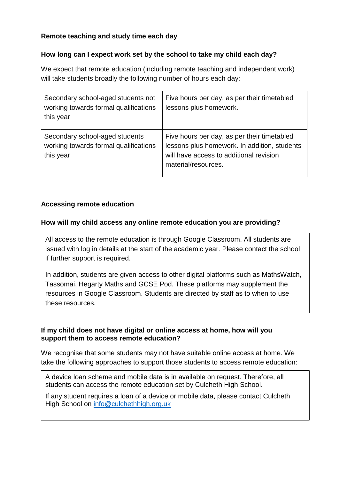# **Remote teaching and study time each day**

## **How long can I expect work set by the school to take my child each day?**

We expect that remote education (including remote teaching and independent work) will take students broadly the following number of hours each day:

| Secondary school-aged students not<br>working towards formal qualifications<br>this year | Five hours per day, as per their timetabled<br>lessons plus homework.                                                                                         |
|------------------------------------------------------------------------------------------|---------------------------------------------------------------------------------------------------------------------------------------------------------------|
| Secondary school-aged students<br>working towards formal qualifications<br>this year     | Five hours per day, as per their timetabled<br>lessons plus homework. In addition, students<br>will have access to additional revision<br>material/resources. |

## **Accessing remote education**

### **How will my child access any online remote education you are providing?**

All access to the remote education is through Google Classroom. All students are issued with log in details at the start of the academic year. Please contact the school if further support is required.

In addition, students are given access to other digital platforms such as MathsWatch, Tassomai, Hegarty Maths and GCSE Pod. These platforms may supplement the resources in Google Classroom. Students are directed by staff as to when to use these resources.

### **If my child does not have digital or online access at home, how will you support them to access remote education?**

We recognise that some students may not have suitable online access at home. We take the following approaches to support those students to access remote education:

A device loan scheme and mobile data is in available on request. Therefore, all students can access the remote education set by Culcheth High School.

If any student requires a loan of a device or mobile data, please contact Culcheth High School on [info@culchethhigh.org.uk](mailto:info@culchethhigh.org.uk)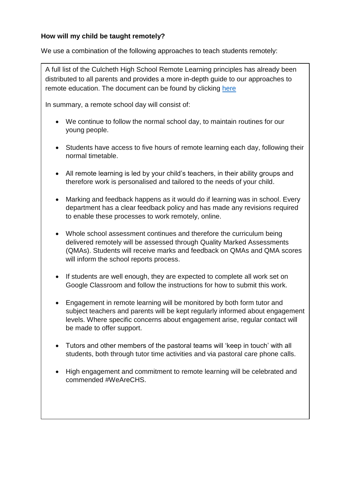## **How will my child be taught remotely?**

We use a combination of the following approaches to teach students remotely:

A full list of the Culcheth High School Remote Learning principles has already been distributed to all parents and provides a more in-depth guide to our approaches to remote education. The document can be found by clicking [here](https://culchethhigh.org.uk/download/chs-remote-learning-principles/?wpdmdl=4989&masterkey=615db1d1bae77)

In summary, a remote school day will consist of:

- We continue to follow the normal school day, to maintain routines for our young people.
- Students have access to five hours of remote learning each day, following their normal timetable.
- All remote learning is led by your child's teachers, in their ability groups and therefore work is personalised and tailored to the needs of your child.
- Marking and feedback happens as it would do if learning was in school. Every department has a clear feedback policy and has made any revisions required to enable these processes to work remotely, online.
- Whole school assessment continues and therefore the curriculum being delivered remotely will be assessed through Quality Marked Assessments (QMAs). Students will receive marks and feedback on QMAs and QMA scores will inform the school reports process.
- If students are well enough, they are expected to complete all work set on Google Classroom and follow the instructions for how to submit this work.
- Engagement in remote learning will be monitored by both form tutor and subject teachers and parents will be kept regularly informed about engagement levels. Where specific concerns about engagement arise, regular contact will be made to offer support.
- Tutors and other members of the pastoral teams will 'keep in touch' with all students, both through tutor time activities and via pastoral care phone calls.
- High engagement and commitment to remote learning will be celebrated and commended #WeAreCHS.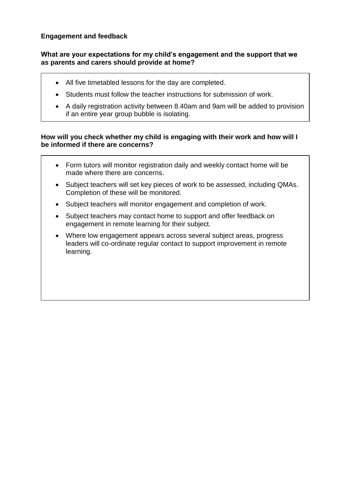### **Engagement and feedback**

#### **What are your expectations for my child's engagement and the support that we as parents and carers should provide at home?**

- All five timetabled lessons for the day are completed.
- Students must follow the teacher instructions for submission of work.
- A daily registration activity between 8.40am and 9am will be added to provision if an entire year group bubble is isolating.

### **How will you check whether my child is engaging with their work and how will I be informed if there are concerns?**

- Form tutors will monitor registration daily and weekly contact home will be made where there are concerns.
- Subject teachers will set key pieces of work to be assessed, including QMAs. Completion of these will be monitored.
- Subject teachers will monitor engagement and completion of work.
- Subject teachers may contact home to support and offer feedback on engagement in remote learning for their subject.
- Where low engagement appears across several subject areas, progress leaders will co-ordinate regular contact to support improvement in remote learning.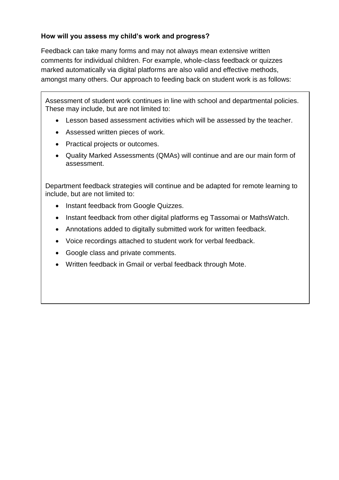# **How will you assess my child's work and progress?**

Feedback can take many forms and may not always mean extensive written comments for individual children. For example, whole-class feedback or quizzes marked automatically via digital platforms are also valid and effective methods, amongst many others. Our approach to feeding back on student work is as follows:

Assessment of student work continues in line with school and departmental policies. These may include, but are not limited to:

- Lesson based assessment activities which will be assessed by the teacher.
- Assessed written pieces of work.
- Practical projects or outcomes.
- Quality Marked Assessments (QMAs) will continue and are our main form of assessment.

Department feedback strategies will continue and be adapted for remote learning to include, but are not limited to:

- Instant feedback from Google Quizzes.
- Instant feedback from other digital platforms eg Tassomai or MathsWatch.
- Annotations added to digitally submitted work for written feedback.
- Voice recordings attached to student work for verbal feedback.
- Google class and private comments.
- Written feedback in Gmail or verbal feedback through Mote.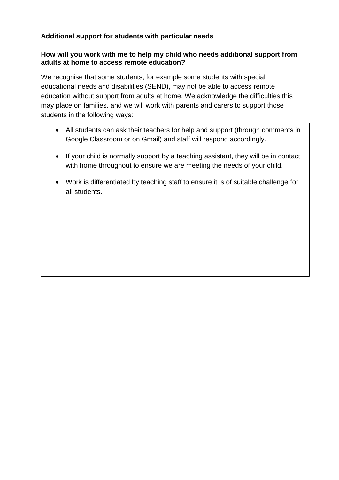# **Additional support for students with particular needs**

### **How will you work with me to help my child who needs additional support from adults at home to access remote education?**

We recognise that some students, for example some students with special educational needs and disabilities (SEND), may not be able to access remote education without support from adults at home. We acknowledge the difficulties this may place on families, and we will work with parents and carers to support those students in the following ways:

- All students can ask their teachers for help and support (through comments in Google Classroom or on Gmail) and staff will respond accordingly.
- If your child is normally support by a teaching assistant, they will be in contact with home throughout to ensure we are meeting the needs of your child.
- Work is differentiated by teaching staff to ensure it is of suitable challenge for all students.